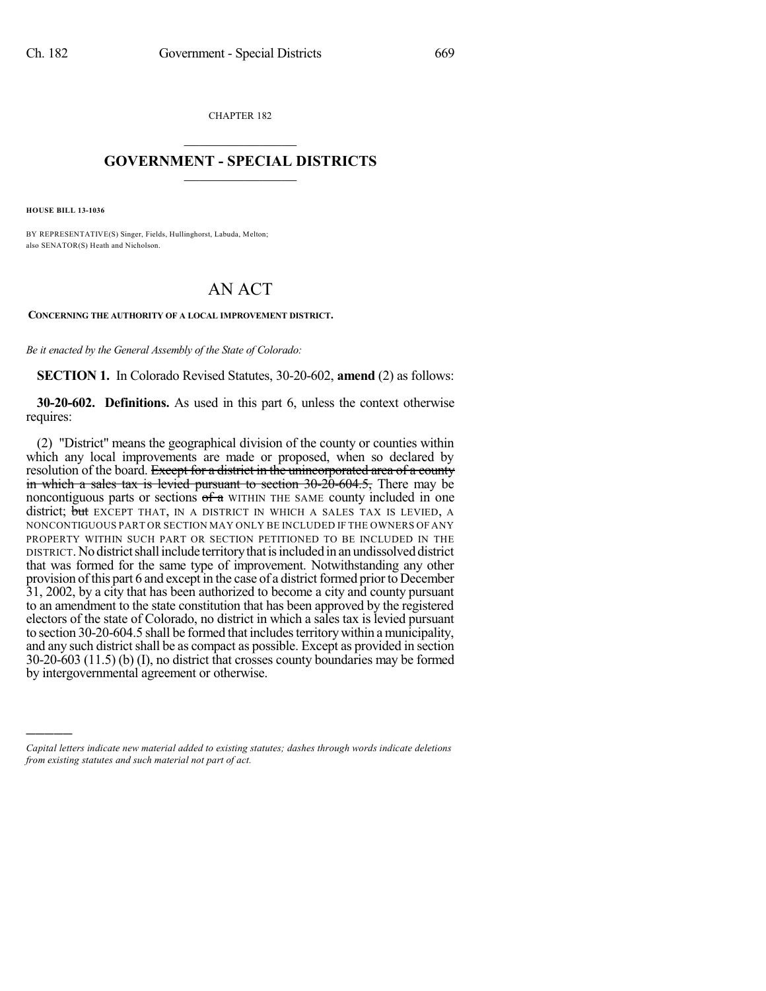CHAPTER 182  $\overline{\phantom{a}}$  . The set of the set of the set of the set of the set of the set of the set of the set of the set of the set of the set of the set of the set of the set of the set of the set of the set of the set of the set o

## **GOVERNMENT - SPECIAL DISTRICTS**  $\_$   $\_$

**HOUSE BILL 13-1036**

)))))

BY REPRESENTATIVE(S) Singer, Fields, Hullinghorst, Labuda, Melton; also SENATOR(S) Heath and Nicholson.

## AN ACT

**CONCERNING THE AUTHORITY OF A LOCAL IMPROVEMENT DISTRICT.** 

*Be it enacted by the General Assembly of the State of Colorado:*

**SECTION 1.** In Colorado Revised Statutes, 30-20-602, **amend** (2) as follows:

**30-20-602. Definitions.** As used in this part 6, unless the context otherwise requires:

(2) "District" means the geographical division of the county or counties within which any local improvements are made or proposed, when so declared by resolution of the board. Except for a district in the unincorporated area of a county in which a sales tax is levied pursuant to section  $30\text{-}20\text{-}604.5$ , There may be noncontiguous parts or sections  $\sigma_{\tau}$  within the same county included in one district; but EXCEPT THAT, IN A DISTRICT IN WHICH A SALES TAX IS LEVIED, A NONCONTIGUOUS PART OR SECTION MAY ONLY BE INCLUDED IF THE OWNERS OF ANY PROPERTY WITHIN SUCH PART OR SECTION PETITIONED TO BE INCLUDED IN THE DISTRICT.Nodistrictshallinclude territorythatisincluded in an undissolved district that was formed for the same type of improvement. Notwithstanding any other provision of this part 6 and except in the case of a district formed prior to December 31, 2002, by a city that has been authorized to become a city and county pursuant to an amendment to the state constitution that has been approved by the registered electors of the state of Colorado, no district in which a sales tax is levied pursuant to section 30-20-604.5 shall be formed that includes territory within a municipality, and any such district shall be as compact as possible. Except as provided in section 30-20-603 (11.5) (b) (I), no district that crosses county boundaries may be formed by intergovernmental agreement or otherwise.

*Capital letters indicate new material added to existing statutes; dashes through words indicate deletions from existing statutes and such material not part of act.*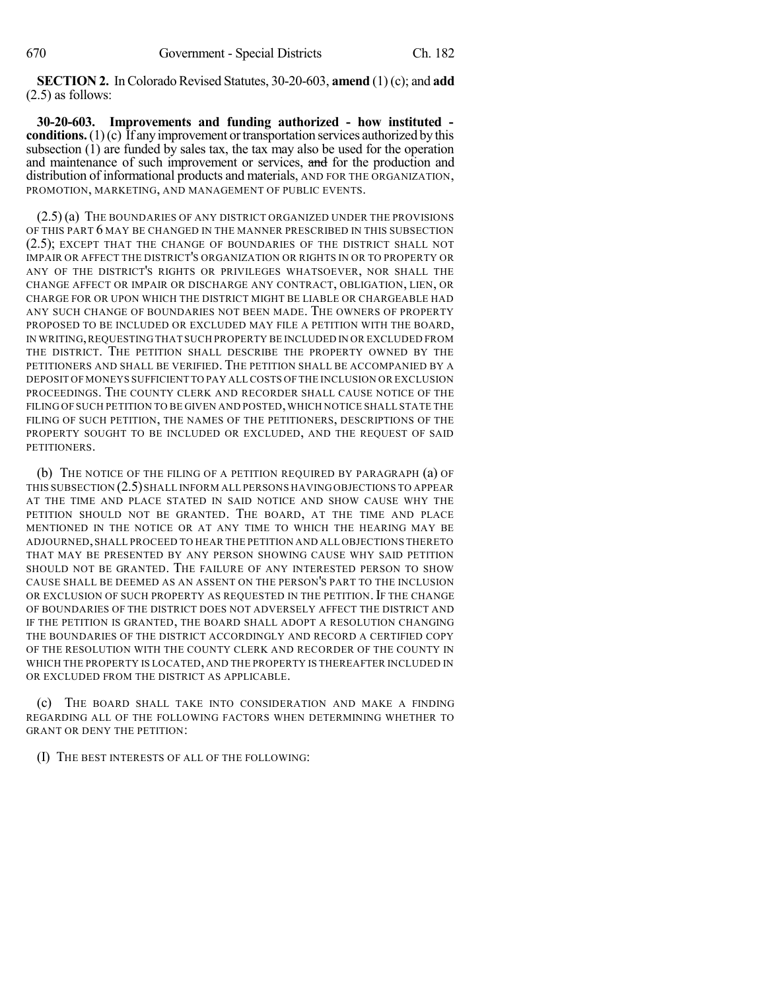**SECTION 2.** In Colorado Revised Statutes, 30-20-603, **amend** (1) (c); and **add** (2.5) as follows:

**30-20-603. Improvements and funding authorized - how instituted conditions.** (1)(c) If any improvement or transportation services authorized by this subsection (1) are funded by sales tax, the tax may also be used for the operation and maintenance of such improvement or services, and for the production and distribution of informational products and materials, AND FOR THE ORGANIZATION, PROMOTION, MARKETING, AND MANAGEMENT OF PUBLIC EVENTS.

(2.5) (a) THE BOUNDARIES OF ANY DISTRICT ORGANIZED UNDER THE PROVISIONS OF THIS PART 6 MAY BE CHANGED IN THE MANNER PRESCRIBED IN THIS SUBSECTION (2.5); EXCEPT THAT THE CHANGE OF BOUNDARIES OF THE DISTRICT SHALL NOT IMPAIR OR AFFECT THE DISTRICT'S ORGANIZATION OR RIGHTS IN OR TO PROPERTY OR ANY OF THE DISTRICT'S RIGHTS OR PRIVILEGES WHATSOEVER, NOR SHALL THE CHANGE AFFECT OR IMPAIR OR DISCHARGE ANY CONTRACT, OBLIGATION, LIEN, OR CHARGE FOR OR UPON WHICH THE DISTRICT MIGHT BE LIABLE OR CHARGEABLE HAD ANY SUCH CHANGE OF BOUNDARIES NOT BEEN MADE. THE OWNERS OF PROPERTY PROPOSED TO BE INCLUDED OR EXCLUDED MAY FILE A PETITION WITH THE BOARD, IN WRITING,REQUESTING THAT SUCH PROPERTY BE INCLUDED IN OR EXCLUDED FROM THE DISTRICT. THE PETITION SHALL DESCRIBE THE PROPERTY OWNED BY THE PETITIONERS AND SHALL BE VERIFIED. THE PETITION SHALL BE ACCOMPANIED BY A DEPOSIT OF MONEYS SUFFICIENT TO PAY ALLCOSTS OF THE INCLUSION OR EXCLUSION PROCEEDINGS. THE COUNTY CLERK AND RECORDER SHALL CAUSE NOTICE OF THE FILING OF SUCH PETITION TO BE GIVEN AND POSTED, WHICH NOTICE SHALL STATE THE FILING OF SUCH PETITION, THE NAMES OF THE PETITIONERS, DESCRIPTIONS OF THE PROPERTY SOUGHT TO BE INCLUDED OR EXCLUDED, AND THE REQUEST OF SAID PETITIONERS.

(b) THE NOTICE OF THE FILING OF A PETITION REQUIRED BY PARAGRAPH (a) OF THIS SUBSECTION (2.5)SHALL INFORM ALL PERSONS HAVING OBJECTIONS TO APPEAR AT THE TIME AND PLACE STATED IN SAID NOTICE AND SHOW CAUSE WHY THE PETITION SHOULD NOT BE GRANTED. THE BOARD, AT THE TIME AND PLACE MENTIONED IN THE NOTICE OR AT ANY TIME TO WHICH THE HEARING MAY BE ADJOURNED,SHALL PROCEED TO HEAR THE PETITION AND ALL OBJECTIONS THERETO THAT MAY BE PRESENTED BY ANY PERSON SHOWING CAUSE WHY SAID PETITION SHOULD NOT BE GRANTED. THE FAILURE OF ANY INTERESTED PERSON TO SHOW CAUSE SHALL BE DEEMED AS AN ASSENT ON THE PERSON'S PART TO THE INCLUSION OR EXCLUSION OF SUCH PROPERTY AS REQUESTED IN THE PETITION. IF THE CHANGE OF BOUNDARIES OF THE DISTRICT DOES NOT ADVERSELY AFFECT THE DISTRICT AND IF THE PETITION IS GRANTED, THE BOARD SHALL ADOPT A RESOLUTION CHANGING THE BOUNDARIES OF THE DISTRICT ACCORDINGLY AND RECORD A CERTIFIED COPY OF THE RESOLUTION WITH THE COUNTY CLERK AND RECORDER OF THE COUNTY IN WHICH THE PROPERTY IS LOCATED, AND THE PROPERTY IS THEREAFTER INCLUDED IN OR EXCLUDED FROM THE DISTRICT AS APPLICABLE.

(c) THE BOARD SHALL TAKE INTO CONSIDERATION AND MAKE A FINDING REGARDING ALL OF THE FOLLOWING FACTORS WHEN DETERMINING WHETHER TO GRANT OR DENY THE PETITION:

(I) THE BEST INTERESTS OF ALL OF THE FOLLOWING: